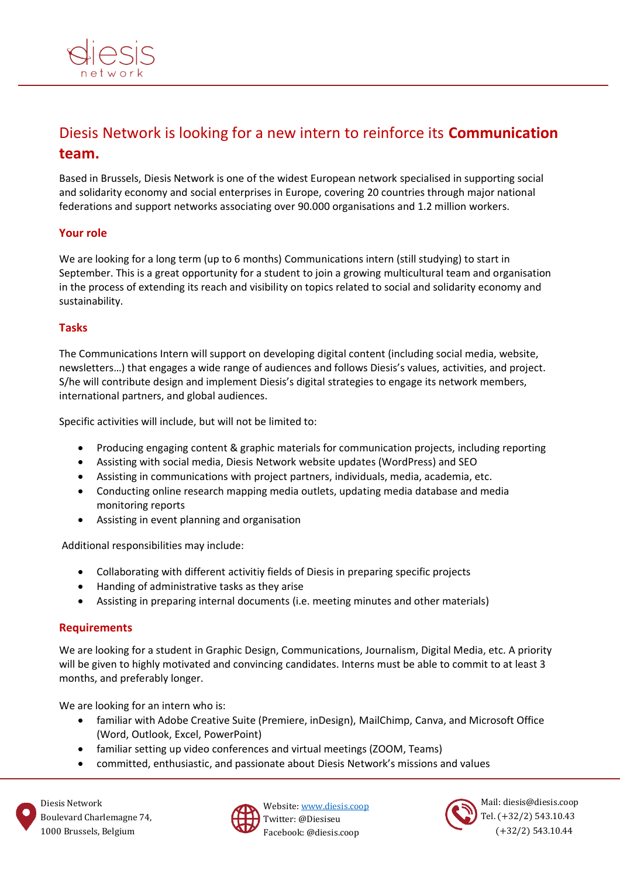

# Diesis Network is looking for a new intern to reinforce its **Communication team.**

Based in Brussels, Diesis Network is one of the widest European network specialised in supporting social and solidarity economy and social enterprises in Europe, covering 20 countries through major national federations and support networks associating over 90.000 organisations and 1.2 million workers.

## **Your role**

We are looking for a long term (up to 6 months) Communications intern (still studying) to start in September. This is a great opportunity for a student to join a growing multicultural team and organisation in the process of extending its reach and visibility on topics related to social and solidarity economy and sustainability.

## **Tasks**

The Communications Intern will support on developing digital content (including social media, website, newsletters…) that engages a wide range of audiences and follows Diesis's values, activities, and project. S/he will contribute design and implement Diesis's digital strategies to engage its network members, international partners, and global audiences.

Specific activities will include, but will not be limited to:

- Producing engaging content & graphic materials for communication projects, including reporting
- Assisting with social media, Diesis Network website updates (WordPress) and SEO
- Assisting in communications with project partners, individuals, media, academia, etc.
- Conducting online research mapping media outlets, updating media database and media monitoring reports
- Assisting in event planning and organisation

Additional responsibilities may include:

- Collaborating with different activitiy fields of Diesis in preparing specific projects
- Handing of administrative tasks as they arise
- Assisting in preparing internal documents (i.e. meeting minutes and other materials)

#### **Requirements**

We are looking for a student in Graphic Design, Communications, Journalism, Digital Media, etc. A priority will be given to highly motivated and convincing candidates. Interns must be able to commit to at least 3 months, and preferably longer.

We are looking for an intern who is:

- familiar with Adobe Creative Suite (Premiere, inDesign), MailChimp, Canva, and Microsoft Office (Word, Outlook, Excel, PowerPoint)
- familiar setting up video conferences and virtual meetings (ZOOM, Teams)
- committed, enthusiastic, and passionate about Diesis Network's missions and values



Website: [www.diesis.coop](http://www.diesis.coop/) Twitter: @Diesiseu Facebook: @diesis.coop



Mail: diesis@diesis.coop Tel. (+32/2) 543.10.43 (+32/2) 543.10.44